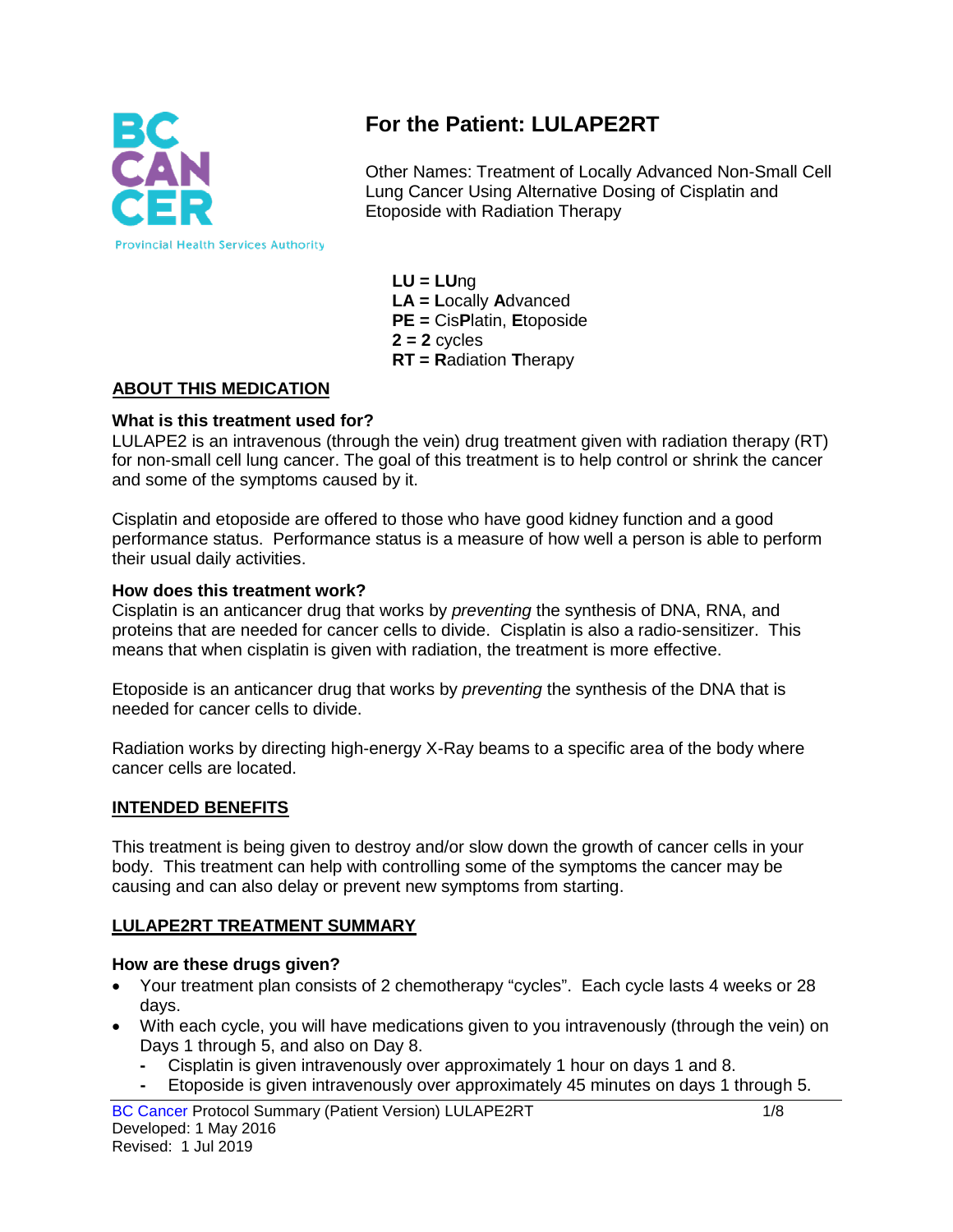

# **For the Patient: LULAPE2RT**

Other Names: Treatment of Locally Advanced Non-Small Cell Lung Cancer Using Alternative Dosing of Cisplatin and Etoposide with Radiation Therapy

**LU = LU**ng **LA = L**ocally **A**dvanced **PE =** Cis**P**latin, **E**toposide **2 = 2** cycles **RT = R**adiation **T**herapy

### **ABOUT THIS MEDICATION**

#### **What is this treatment used for?**

LULAPE2 is an intravenous (through the vein) drug treatment given with radiation therapy (RT) for non-small cell lung cancer. The goal of this treatment is to help control or shrink the cancer and some of the symptoms caused by it.

Cisplatin and etoposide are offered to those who have good kidney function and a good performance status. Performance status is a measure of how well a person is able to perform their usual daily activities.

#### **How does this treatment work?**

Cisplatin is an anticancer drug that works by *preventing* the synthesis of DNA, RNA, and proteins that are needed for cancer cells to divide. Cisplatin is also a radio-sensitizer. This means that when cisplatin is given with radiation, the treatment is more effective.

Etoposide is an anticancer drug that works by *preventing* the synthesis of the DNA that is needed for cancer cells to divide.

Radiation works by directing high-energy X-Ray beams to a specific area of the body where cancer cells are located.

#### **INTENDED BENEFITS**

This treatment is being given to destroy and/or slow down the growth of cancer cells in your body. This treatment can help with controlling some of the symptoms the cancer may be causing and can also delay or prevent new symptoms from starting.

#### **LULAPE2RT TREATMENT SUMMARY**

#### **How are these drugs given?**

- Your treatment plan consists of 2 chemotherapy "cycles". Each cycle lasts 4 weeks or 28 days.
- With each cycle, you will have medications given to you intravenously (through the vein) on Days 1 through 5, and also on Day 8.
	- **-** Cisplatin is given intravenously over approximately 1 hour on days 1 and 8.
	- **-** Etoposide is given intravenously over approximately 45 minutes on days 1 through 5.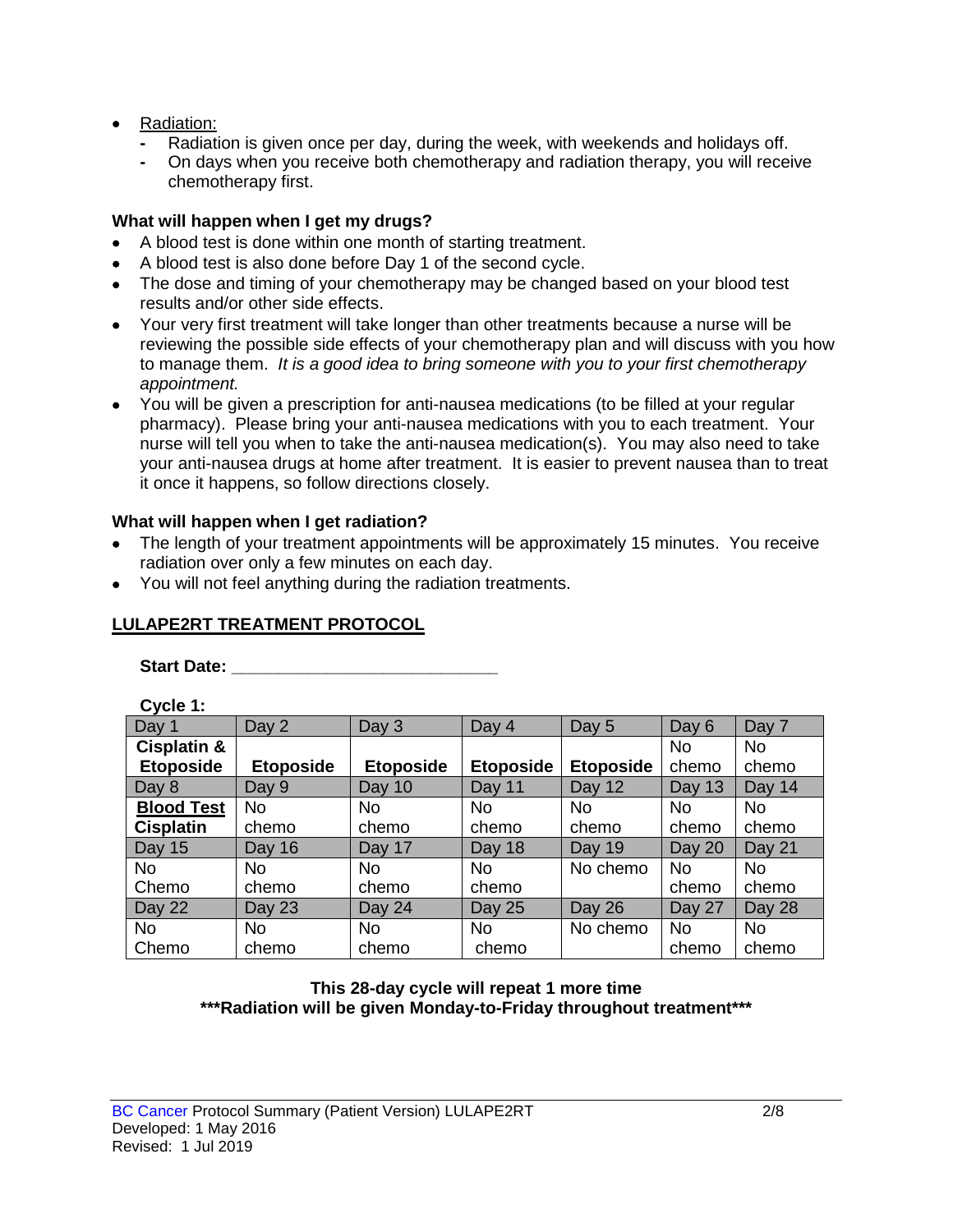- Radiation:
	- **-** Radiation is given once per day, during the week, with weekends and holidays off.
	- **-** On days when you receive both chemotherapy and radiation therapy, you will receive chemotherapy first.

#### **What will happen when I get my drugs?**

- A blood test is done within one month of starting treatment.
- A blood test is also done before Day 1 of the second cycle.
- The dose and timing of your chemotherapy may be changed based on your blood test results and/or other side effects.
- Your very first treatment will take longer than other treatments because a nurse will be reviewing the possible side effects of your chemotherapy plan and will discuss with you how to manage them. *It is a good idea to bring someone with you to your first chemotherapy appointment.*
- You will be given a prescription for anti-nausea medications (to be filled at your regular pharmacy). Please bring your anti-nausea medications with you to each treatment. Your nurse will tell you when to take the anti-nausea medication(s). You may also need to take your anti-nausea drugs at home after treatment. It is easier to prevent nausea than to treat it once it happens, so follow directions closely.

### **What will happen when I get radiation?**

- The length of your treatment appointments will be approximately 15 minutes. You receive radiation over only a few minutes on each day.
- You will not feel anything during the radiation treatments.

## **LULAPE2RT TREATMENT PROTOCOL**

**Start Date: Contract Date: Contract Date: Contract Date: Contract Date: Contract Date: Contract Date: Contract Date: Contract Date: Contract Date: Contract Date: Contract Date: Contract Date: Con** 

| Cycle 1:          |                  |                  |                  |                  |        |           |
|-------------------|------------------|------------------|------------------|------------------|--------|-----------|
| Day 1             | Day 2            | Day 3            | Day 4            | Day 5            | Day 6  | Day 7     |
| Cisplatin &       |                  |                  |                  |                  | No     | No        |
| <b>Etoposide</b>  | <b>Etoposide</b> | <b>Etoposide</b> | <b>Etoposide</b> | <b>Etoposide</b> | chemo  | chemo     |
| Day 8             | Day 9            | Day 10           | Day 11           | Day 12           | Day 13 | Day 14    |
| <b>Blood Test</b> | No.              | No               | <b>No</b>        | <b>No</b>        | No.    | No.       |
| <b>Cisplatin</b>  | chemo            | chemo            | chemo            | chemo            | chemo  | chemo     |
| Day 15            | Day 16           | Day 17           | Day 18           | Day 19           | Day 20 | Day 21    |
| <b>No</b>         | No.              | No               | <b>No</b>        | No chemo         | No.    | <b>No</b> |
| Chemo             | chemo            | chemo            | chemo            |                  | chemo  | chemo     |
| Day 22            | Day 23           | Day 24           | Day 25           | Day 26           | Day 27 | Day 28    |
| <b>No</b>         | No.              | No.              | No.              | No chemo         | No.    | No.       |
| Chemo             | chemo            | chemo            | chemo            |                  | chemo  | chemo     |

#### **This 28-day cycle will repeat 1 more time \*\*\*Radiation will be given Monday-to-Friday throughout treatment\*\*\***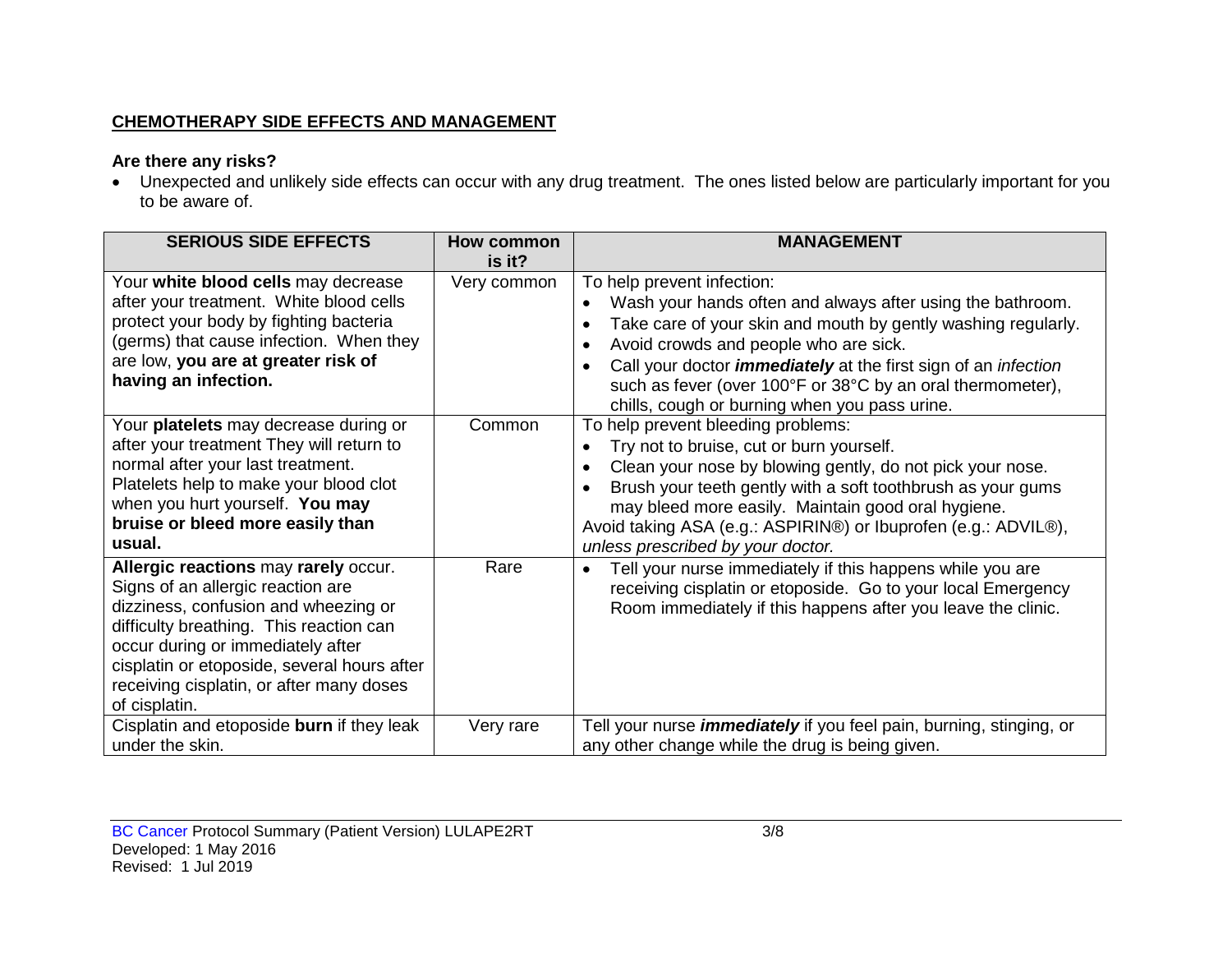### **CHEMOTHERAPY SIDE EFFECTS AND MANAGEMENT**

## **Are there any risks?**

• Unexpected and unlikely side effects can occur with any drug treatment. The ones listed below are particularly important for you to be aware of.

| <b>SERIOUS SIDE EFFECTS</b>                                                                                                                                                                                                                                                                                   | <b>How common</b><br>is it? | <b>MANAGEMENT</b>                                                                                                                                                                                                                                                                                                                                                                                                                        |
|---------------------------------------------------------------------------------------------------------------------------------------------------------------------------------------------------------------------------------------------------------------------------------------------------------------|-----------------------------|------------------------------------------------------------------------------------------------------------------------------------------------------------------------------------------------------------------------------------------------------------------------------------------------------------------------------------------------------------------------------------------------------------------------------------------|
| Your white blood cells may decrease<br>after your treatment. White blood cells<br>protect your body by fighting bacteria<br>(germs) that cause infection. When they<br>are low, you are at greater risk of<br>having an infection.                                                                            | Very common                 | To help prevent infection:<br>Wash your hands often and always after using the bathroom.<br>$\bullet$<br>Take care of your skin and mouth by gently washing regularly.<br>$\bullet$<br>Avoid crowds and people who are sick.<br>$\bullet$<br>Call your doctor <i>immediately</i> at the first sign of an <i>infection</i><br>such as fever (over 100°F or 38°C by an oral thermometer),<br>chills, cough or burning when you pass urine. |
| Your platelets may decrease during or<br>after your treatment They will return to<br>normal after your last treatment.<br>Platelets help to make your blood clot<br>when you hurt yourself. You may<br>bruise or bleed more easily than<br>usual.                                                             | Common                      | To help prevent bleeding problems:<br>Try not to bruise, cut or burn yourself.<br>Clean your nose by blowing gently, do not pick your nose.<br>$\bullet$<br>Brush your teeth gently with a soft toothbrush as your gums<br>may bleed more easily. Maintain good oral hygiene.<br>Avoid taking ASA (e.g.: ASPIRIN®) or Ibuprofen (e.g.: ADVIL®),<br>unless prescribed by your doctor.                                                     |
| Allergic reactions may rarely occur.<br>Signs of an allergic reaction are<br>dizziness, confusion and wheezing or<br>difficulty breathing. This reaction can<br>occur during or immediately after<br>cisplatin or etoposide, several hours after<br>receiving cisplatin, or after many doses<br>of cisplatin. | Rare                        | Tell your nurse immediately if this happens while you are<br>receiving cisplatin or etoposide. Go to your local Emergency<br>Room immediately if this happens after you leave the clinic.                                                                                                                                                                                                                                                |
| Cisplatin and etoposide burn if they leak<br>under the skin.                                                                                                                                                                                                                                                  | Very rare                   | Tell your nurse <i>immediately</i> if you feel pain, burning, stinging, or<br>any other change while the drug is being given.                                                                                                                                                                                                                                                                                                            |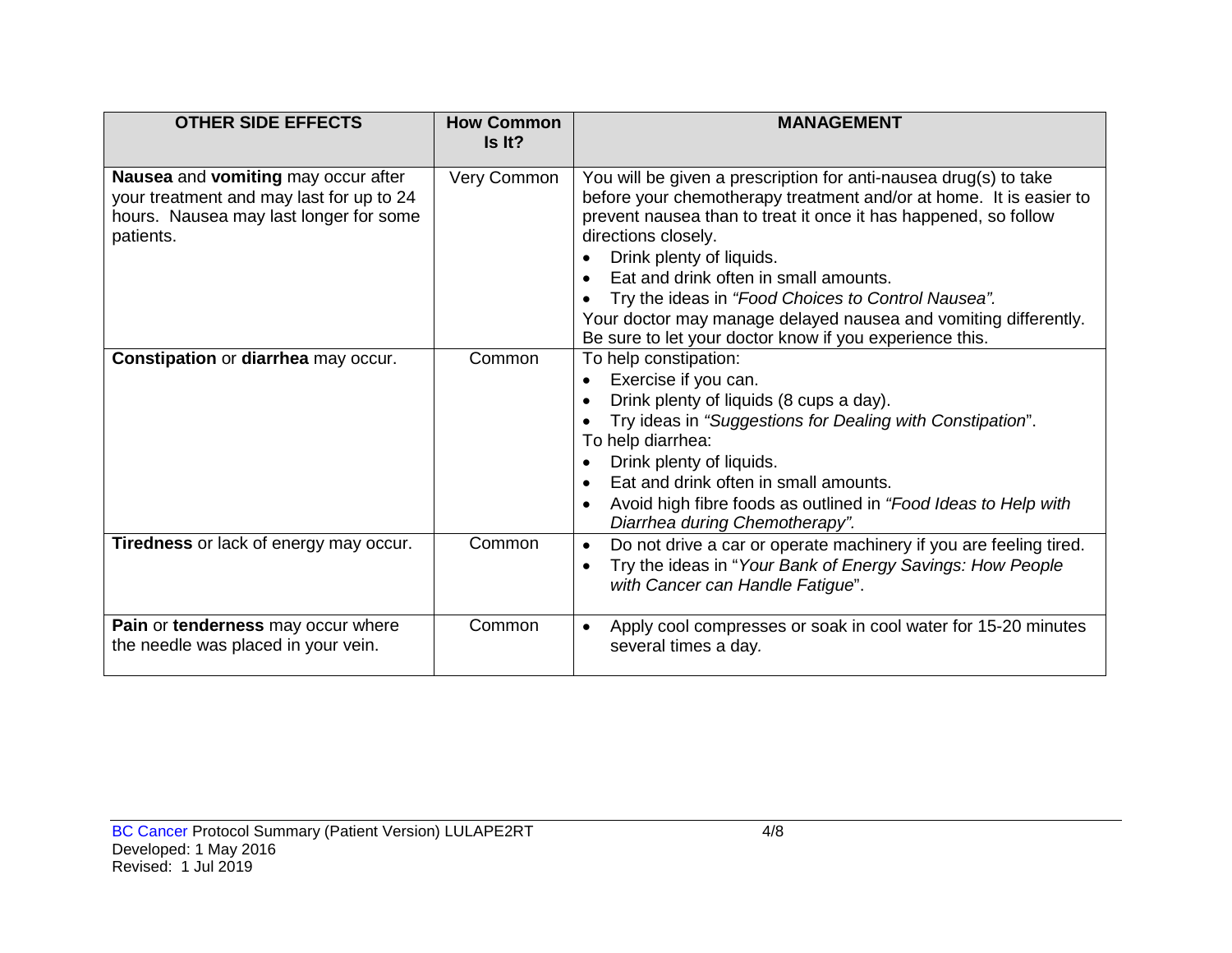| <b>OTHER SIDE EFFECTS</b>                                                                                                              | <b>How Common</b><br>Is It? | <b>MANAGEMENT</b>                                                                                                                                                                                                                                                                                                                                                                                                                                                                         |
|----------------------------------------------------------------------------------------------------------------------------------------|-----------------------------|-------------------------------------------------------------------------------------------------------------------------------------------------------------------------------------------------------------------------------------------------------------------------------------------------------------------------------------------------------------------------------------------------------------------------------------------------------------------------------------------|
| Nausea and vomiting may occur after<br>your treatment and may last for up to 24<br>hours. Nausea may last longer for some<br>patients. | Very Common                 | You will be given a prescription for anti-nausea drug(s) to take<br>before your chemotherapy treatment and/or at home. It is easier to<br>prevent nausea than to treat it once it has happened, so follow<br>directions closely.<br>Drink plenty of liquids.<br>Eat and drink often in small amounts.<br>Try the ideas in "Food Choices to Control Nausea".<br>Your doctor may manage delayed nausea and vomiting differently.<br>Be sure to let your doctor know if you experience this. |
| Constipation or diarrhea may occur.                                                                                                    | Common                      | To help constipation:<br>Exercise if you can.<br>Drink plenty of liquids (8 cups a day).<br>$\bullet$<br>Try ideas in "Suggestions for Dealing with Constipation".<br>To help diarrhea:<br>Drink plenty of liquids.<br>Eat and drink often in small amounts.<br>Avoid high fibre foods as outlined in "Food Ideas to Help with<br>Diarrhea during Chemotherapy".                                                                                                                          |
| <b>Tiredness</b> or lack of energy may occur.                                                                                          | Common                      | Do not drive a car or operate machinery if you are feeling tired.<br>$\bullet$<br>Try the ideas in "Your Bank of Energy Savings: How People<br>with Cancer can Handle Fatigue".                                                                                                                                                                                                                                                                                                           |
| Pain or tenderness may occur where<br>the needle was placed in your vein.                                                              | Common                      | Apply cool compresses or soak in cool water for 15-20 minutes<br>$\bullet$<br>several times a day.                                                                                                                                                                                                                                                                                                                                                                                        |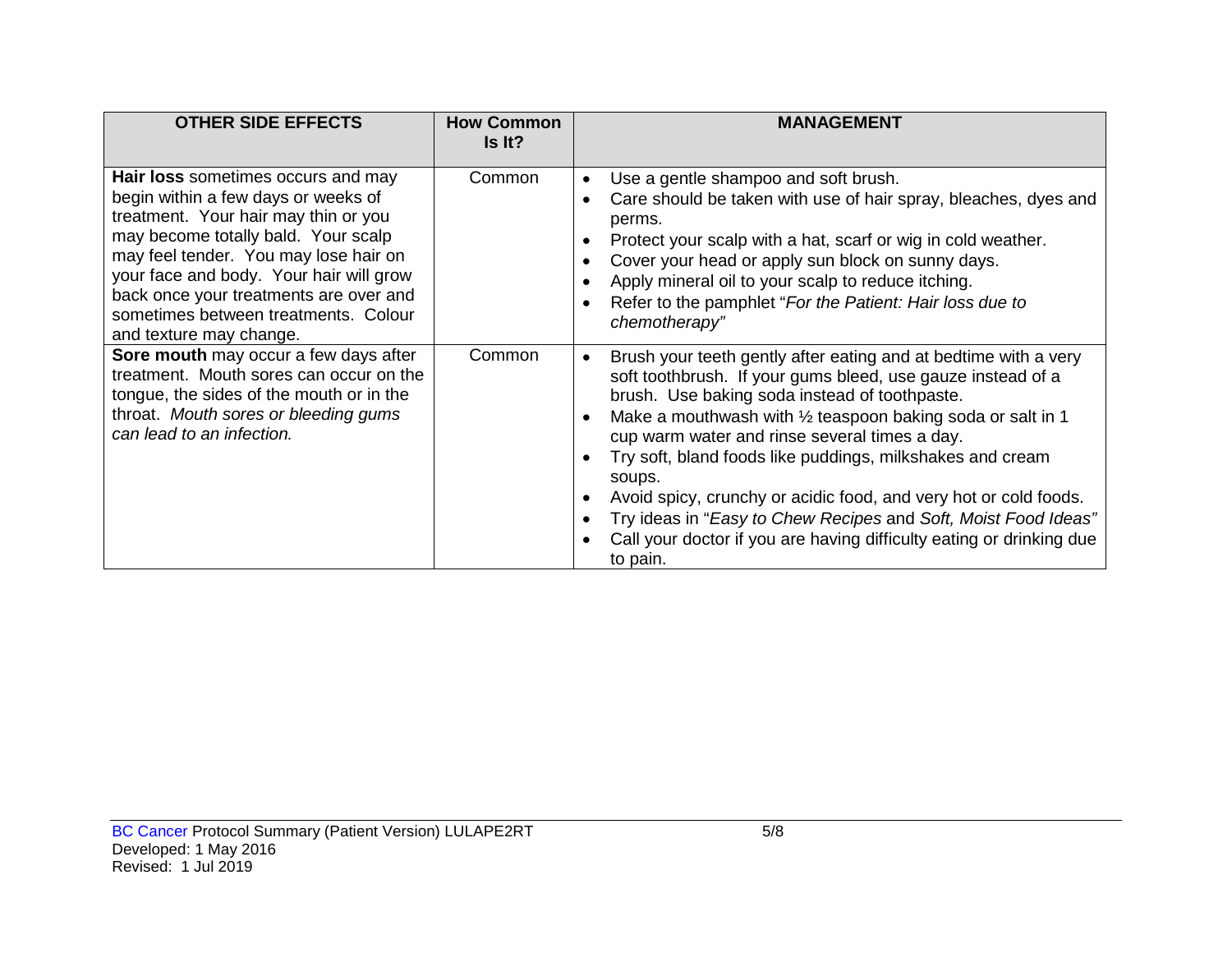| <b>OTHER SIDE EFFECTS</b>                                                                                                                                                                                                                                                                                                                                 | <b>How Common</b><br>Is It? | <b>MANAGEMENT</b>                                                                                                                                                                                                                                                                                                                                                                                                                                                                                                                                                                                          |
|-----------------------------------------------------------------------------------------------------------------------------------------------------------------------------------------------------------------------------------------------------------------------------------------------------------------------------------------------------------|-----------------------------|------------------------------------------------------------------------------------------------------------------------------------------------------------------------------------------------------------------------------------------------------------------------------------------------------------------------------------------------------------------------------------------------------------------------------------------------------------------------------------------------------------------------------------------------------------------------------------------------------------|
| Hair loss sometimes occurs and may<br>begin within a few days or weeks of<br>treatment. Your hair may thin or you<br>may become totally bald. Your scalp<br>may feel tender. You may lose hair on<br>your face and body. Your hair will grow<br>back once your treatments are over and<br>sometimes between treatments. Colour<br>and texture may change. | Common                      | Use a gentle shampoo and soft brush.<br>$\bullet$<br>Care should be taken with use of hair spray, bleaches, dyes and<br>perms.<br>Protect your scalp with a hat, scarf or wig in cold weather.<br>Cover your head or apply sun block on sunny days.<br>Apply mineral oil to your scalp to reduce itching.<br>Refer to the pamphlet "For the Patient: Hair loss due to<br>chemotherapy"                                                                                                                                                                                                                     |
| Sore mouth may occur a few days after<br>treatment. Mouth sores can occur on the<br>tongue, the sides of the mouth or in the<br>throat. Mouth sores or bleeding gums<br>can lead to an infection.                                                                                                                                                         | Common                      | Brush your teeth gently after eating and at bedtime with a very<br>soft toothbrush. If your gums bleed, use gauze instead of a<br>brush. Use baking soda instead of toothpaste.<br>Make a mouthwash with $\frac{1}{2}$ teaspoon baking soda or salt in 1<br>cup warm water and rinse several times a day.<br>Try soft, bland foods like puddings, milkshakes and cream<br>soups.<br>Avoid spicy, crunchy or acidic food, and very hot or cold foods.<br>Try ideas in "Easy to Chew Recipes and Soft, Moist Food Ideas"<br>Call your doctor if you are having difficulty eating or drinking due<br>to pain. |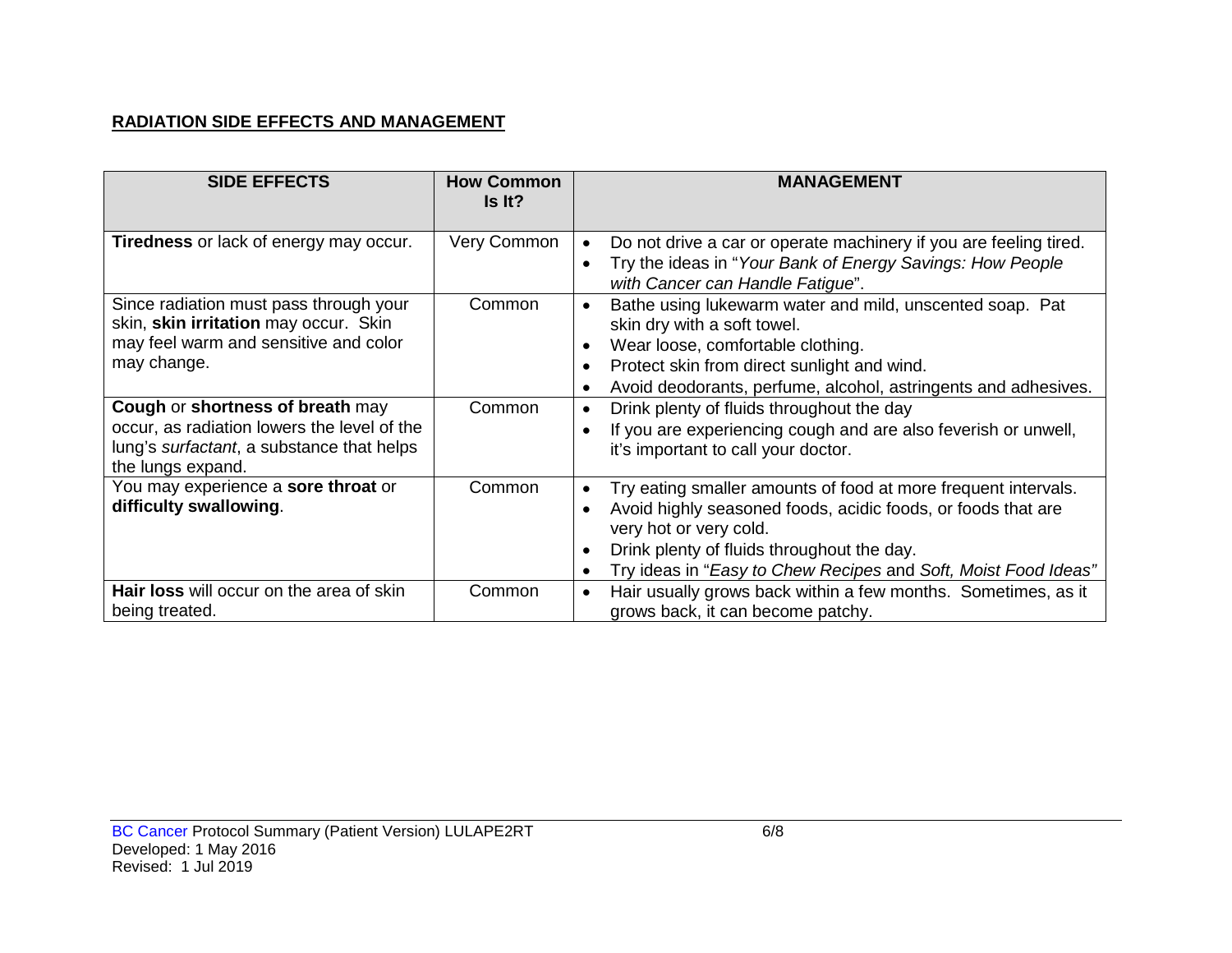### **RADIATION SIDE EFFECTS AND MANAGEMENT**

| <b>SIDE EFFECTS</b>                                                                                                                               | <b>How Common</b><br>Is It? | <b>MANAGEMENT</b>                                                                                                                                                                                                                                                        |
|---------------------------------------------------------------------------------------------------------------------------------------------------|-----------------------------|--------------------------------------------------------------------------------------------------------------------------------------------------------------------------------------------------------------------------------------------------------------------------|
| <b>Tiredness</b> or lack of energy may occur.                                                                                                     | Very Common                 | Do not drive a car or operate machinery if you are feeling tired.<br>$\bullet$<br>Try the ideas in "Your Bank of Energy Savings: How People<br>with Cancer can Handle Fatigue".                                                                                          |
| Since radiation must pass through your<br>skin, skin irritation may occur. Skin<br>may feel warm and sensitive and color<br>may change.           | Common                      | Bathe using lukewarm water and mild, unscented soap. Pat<br>skin dry with a soft towel.<br>Wear loose, comfortable clothing.<br>Protect skin from direct sunlight and wind.<br>Avoid deodorants, perfume, alcohol, astringents and adhesives.                            |
| Cough or shortness of breath may<br>occur, as radiation lowers the level of the<br>lung's surfactant, a substance that helps<br>the lungs expand. | Common                      | Drink plenty of fluids throughout the day<br>If you are experiencing cough and are also feverish or unwell,<br>it's important to call your doctor.                                                                                                                       |
| You may experience a sore throat or<br>difficulty swallowing.                                                                                     | Common                      | Try eating smaller amounts of food at more frequent intervals.<br>Avoid highly seasoned foods, acidic foods, or foods that are<br>very hot or very cold.<br>Drink plenty of fluids throughout the day.<br>Try ideas in "Easy to Chew Recipes and Soft, Moist Food Ideas" |
| Hair loss will occur on the area of skin<br>being treated.                                                                                        | Common                      | Hair usually grows back within a few months. Sometimes, as it<br>$\bullet$<br>grows back, it can become patchy.                                                                                                                                                          |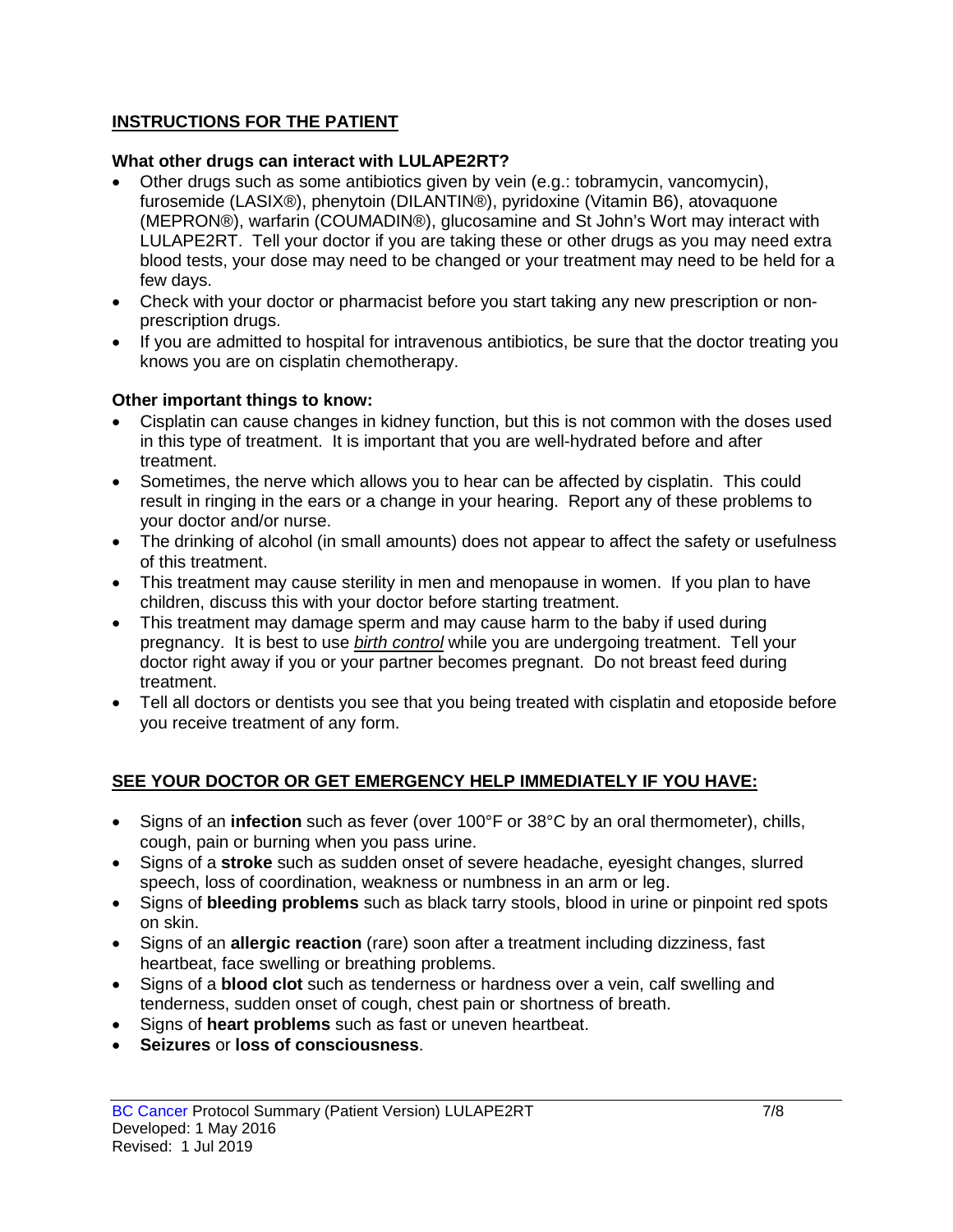### **INSTRUCTIONS FOR THE PATIENT**

#### **What other drugs can interact with LULAPE2RT?**

- Other drugs such as some antibiotics given by vein (e.g.: tobramycin, vancomycin), furosemide (LASIX®), phenytoin (DILANTIN®), pyridoxine (Vitamin B6), atovaquone (MEPRON®), warfarin (COUMADIN®), glucosamine and St John's Wort may interact with LULAPE2RT. Tell your doctor if you are taking these or other drugs as you may need extra blood tests, your dose may need to be changed or your treatment may need to be held for a few days.
- Check with your doctor or pharmacist before you start taking any new prescription or nonprescription drugs.
- If you are admitted to hospital for intravenous antibiotics, be sure that the doctor treating you knows you are on cisplatin chemotherapy.

#### **Other important things to know:**

- Cisplatin can cause changes in kidney function, but this is not common with the doses used in this type of treatment. It is important that you are well-hydrated before and after treatment.
- Sometimes, the nerve which allows you to hear can be affected by cisplatin. This could result in ringing in the ears or a change in your hearing. Report any of these problems to your doctor and/or nurse.
- The drinking of alcohol (in small amounts) does not appear to affect the safety or usefulness of this treatment.
- This treatment may cause sterility in men and menopause in women. If you plan to have children, discuss this with your doctor before starting treatment.
- This treatment may damage sperm and may cause harm to the baby if used during pregnancy. It is best to use *birth control* while you are undergoing treatment. Tell your doctor right away if you or your partner becomes pregnant. Do not breast feed during treatment.
- Tell all doctors or dentists you see that you being treated with cisplatin and etoposide before you receive treatment of any form.

### **SEE YOUR DOCTOR OR GET EMERGENCY HELP IMMEDIATELY IF YOU HAVE:**

- Signs of an **infection** such as fever (over 100°F or 38°C by an oral thermometer), chills, cough, pain or burning when you pass urine.
- Signs of a **stroke** such as sudden onset of severe headache, eyesight changes, slurred speech, loss of coordination, weakness or numbness in an arm or leg.
- Signs of **bleeding problems** such as black tarry stools, blood in urine or pinpoint red spots on skin.
- Signs of an **allergic reaction** (rare) soon after a treatment including dizziness, fast heartbeat, face swelling or breathing problems.
- Signs of a **blood clot** such as tenderness or hardness over a vein, calf swelling and tenderness, sudden onset of cough, chest pain or shortness of breath.
- Signs of **heart problems** such as fast or uneven heartbeat.
- **Seizures** or **loss of consciousness**.